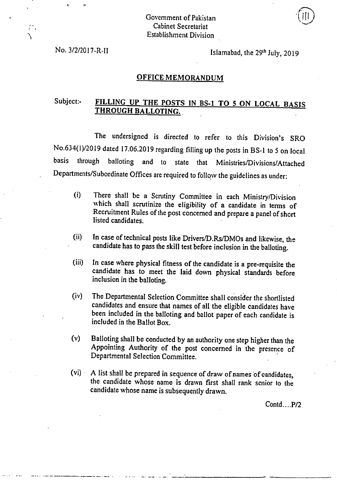## Government of Pakistan Cabinet Secretariat Establishment Division

No.  $3/2/2017-R-II$  Islamabad, the  $29<sup>th</sup> July, 2019$ 

## OFFICE MEMORANDUM

## Subject:- FILLING UP THE POSTS IN BS-1 TO 5 ON LOCAL BASIS THROUGH BALLOTING.

The undersigned is directed to refer to this Division's SRO No.634(1)/2019 dated 17.06.2019 regarding filling up the posts in BS-1 to 5 on local basis through balloting and to state that Ministries/Divisions/Attached Departments/Subordinate Offices are required to follow the guidelines as under:

- (i) There shall be a Scrutiny Committee in each Ministry/Division which shall scrutinize the eligibility of a candidate in terms of Recruitment Rules of the post concerned and prepare a panel of short listed candidates.
- $(ii)$ In case of technical posts like Drivers/D.Rs/DMOs and likewise, the candidate has to pass the skill test before inclusion in the balloting.
- $(iii)$ In case where physical fitness of the candidate is a pre-requisite the candidate has to meet the laid down physical standards before inclusion in the balloting.
- The Departmental Selection Committee shall consider the shortlisted  $(iv)$ candidates and ensure that names of all the eligible candidates have been included in the balloting and ballot paper of each candidate is included in the Ballot Box.
- $(v)$ Balloting shall be conducted by an authority one step higher than the Appointing Authority of the post concerned in the presence of Departmental Selection Committee.
- $(vi)$ A list shall be prepared in sequence of draw of names of candidates, the candidate whose name is drawn first shall rank senior to the candidate whose name is subsequently drawn.

Contd....P/2